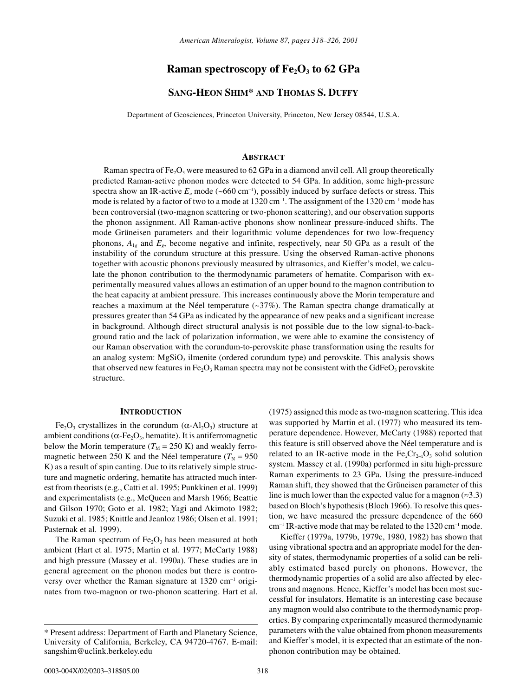# **Raman spectroscopy of Fe<sub>2</sub>O<sub>3</sub> to 62 GPa**

## **SANG-HEON SHIM\* AND THOMAS S. DUFFY**

Department of Geosciences, Princeton University, Princeton, New Jersey 08544, U.S.A.

### **ABSTRACT**

Raman spectra of Fe<sub>2</sub>O<sub>3</sub> were measured to 62 GPa in a diamond anvil cell. All group theoretically predicted Raman-active phonon modes were detected to 54 GPa. In addition, some high-pressure spectra show an IR-active  $E_u$  mode (~660 cm<sup>-1</sup>), possibly induced by surface defects or stress. This mode is related by a factor of two to a mode at  $1320 \text{ cm}^{-1}$ . The assignment of the  $1320 \text{ cm}^{-1}$  mode has been controversial (two-magnon scattering or two-phonon scattering), and our observation supports the phonon assignment. All Raman-active phonons show nonlinear pressure-induced shifts. The mode Grüneisen parameters and their logarithmic volume dependences for two low-frequency phonons,  $A_{1g}$  and  $E_g$ , become negative and infinite, respectively, near 50 GPa as a result of the instability of the corundum structure at this pressure. Using the observed Raman-active phonons together with acoustic phonons previously measured by ultrasonics, and Kieffer's model, we calculate the phonon contribution to the thermodynamic parameters of hematite. Comparison with experimentally measured values allows an estimation of an upper bound to the magnon contribution to the heat capacity at ambient pressure. This increases continuously above the Morin temperature and reaches a maximum at the Néel temperature  $(\sim 37\%)$ . The Raman spectra change dramatically at pressures greater than 54 GPa as indicated by the appearance of new peaks and a significant increase in background. Although direct structural analysis is not possible due to the low signal-to-background ratio and the lack of polarization information, we were able to examine the consistency of our Raman observation with the corundum-to-perovskite phase transformation using the results for an analog system:  $MgSiO<sub>3</sub>$  ilmenite (ordered corundum type) and perovskite. This analysis shows that observed new features in Fe<sub>2</sub>O<sub>3</sub> Raman spectra may not be consistent with the GdFeO<sub>3</sub> perovskite structure.

#### **INTRODUCTION**

Fe<sub>2</sub>O<sub>3</sub> crystallizes in the corundum  $(\alpha$ -Al<sub>2</sub>O<sub>3</sub>) structure at ambient conditions ( $\alpha$ -Fe<sub>2</sub>O<sub>3</sub>, hematite). It is antiferromagnetic below the Morin temperature  $(T_M = 250 \text{ K})$  and weakly ferromagnetic between 250 K and the Néel temperature ( $T<sub>N</sub>$  = 950 K) as a result of spin canting. Due to its relatively simple structure and magnetic ordering, hematite has attracted much interest from theorists (e.g., Catti et al. 1995; Punkkinen et al. 1999) and experimentalists (e.g., McQueen and Marsh 1966; Beattie and Gilson 1970; Goto et al. 1982; Yagi and Akimoto 1982; Suzuki et al. 1985; Knittle and Jeanloz 1986; Olsen et al. 1991; Pasternak et al. 1999).

The Raman spectrum of  $Fe<sub>2</sub>O<sub>3</sub>$  has been measured at both ambient (Hart et al. 1975; Martin et al. 1977; McCarty 1988) and high pressure (Massey et al. 1990a). These studies are in general agreement on the phonon modes but there is controversy over whether the Raman signature at 1320 cm–1 originates from two-magnon or two-phonon scattering. Hart et al. (1975) assigned this mode as two-magnon scattering. This idea was supported by Martin et al. (1977) who measured its temperature dependence. However, McCarty (1988) reported that this feature is still observed above the Néel temperature and is related to an IR-active mode in the  $Fe<sub>x</sub>Cr<sub>2-x</sub>O<sub>3</sub>$  solid solution system. Massey et al. (1990a) performed in situ high-pressure Raman experiments to 23 GPa. Using the pressure-induced Raman shift, they showed that the Grüneisen parameter of this line is much lower than the expected value for a magnon ( $\approx 3.3$ ) based on Bloch's hypothesis (Bloch 1966). To resolve this question, we have measured the pressure dependence of the 660 cm–1 IR-active mode that may be related to the 1320 cm–1 mode.

Kieffer (1979a, 1979b, 1979c, 1980, 1982) has shown that using vibrational spectra and an appropriate model for the density of states, thermodynamic properties of a solid can be reliably estimated based purely on phonons. However, the thermodynamic properties of a solid are also affected by electrons and magnons. Hence, Kieffer's model has been most successful for insulators. Hematite is an interesting case because any magnon would also contribute to the thermodynamic properties. By comparing experimentally measured thermodynamic parameters with the value obtained from phonon measurements and Kieffer's model, it is expected that an estimate of the nonphonon contribution may be obtained.

<sup>\*</sup> Present address: Department of Earth and Planetary Science, University of California, Berkeley, CA 94720-4767. E-mail: sangshim@uclink.berkeley.edu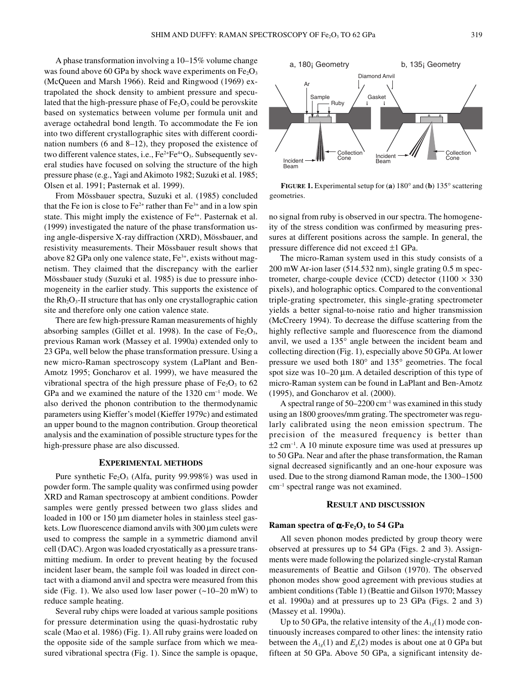A phase transformation involving a 10–15% volume change was found above 60 GPa by shock wave experiments on  $Fe<sub>2</sub>O<sub>3</sub>$ (McQueen and Marsh 1966). Reid and Ringwood (1969) extrapolated the shock density to ambient pressure and speculated that the high-pressure phase of  $Fe<sub>2</sub>O<sub>3</sub>$  could be perovskite based on systematics between volume per formula unit and average octahedral bond length. To accommodate the Fe ion into two different crystallographic sites with different coordination numbers (6 and 8–12), they proposed the existence of two different valence states, i.e.,  $Fe^{2+}Fe^{4+}O_3$ . Subsequently several studies have focused on solving the structure of the high pressure phase (e.g., Yagi and Akimoto 1982; Suzuki et al. 1985; Olsen et al. 1991; Pasternak et al. 1999).

From Mössbauer spectra, Suzuki et al. (1985) concluded that the Fe ion is close to Fe<sup>2+</sup> rather than  $Fe^{3+}$  and in a low spin state. This might imply the existence of Fe<sup>4+</sup>. Pasternak et al. (1999) investigated the nature of the phase transformation using angle-dispersive X-ray diffraction (XRD), Mössbauer, and resistivity measurements. Their Mössbauer result shows that above 82 GPa only one valence state,  $Fe^{3+}$ , exists without magnetism. They claimed that the discrepancy with the earlier Mössbauer study (Suzuki et al. 1985) is due to pressure inhomogeneity in the earlier study. This supports the existence of the  $Rh_2O_3$ -II structure that has only one crystallographic cation site and therefore only one cation valence state.

There are few high-pressure Raman measurements of highly absorbing samples (Gillet et al. 1998). In the case of  $Fe<sub>2</sub>O<sub>3</sub>$ , previous Raman work (Massey et al. 1990a) extended only to 23 GPa, well below the phase transformation pressure. Using a new micro-Raman spectroscopy system (LaPlant and Ben-Amotz 1995; Goncharov et al. 1999), we have measured the vibrational spectra of the high pressure phase of  $Fe<sub>2</sub>O<sub>3</sub>$  to 62 GPa and we examined the nature of the 1320 cm–1 mode. We also derived the phonon contribution to the thermodynamic parameters using Kieffer's model (Kieffer 1979c) and estimated an upper bound to the magnon contribution. Group theoretical analysis and the examination of possible structure types for the high-pressure phase are also discussed.

#### **EXPERIMENTAL METHODS**

Pure synthetic Fe<sub>2</sub>O<sub>3</sub> (Alfa, purity 99.998%) was used in powder form. The sample quality was confirmed using powder XRD and Raman spectroscopy at ambient conditions. Powder samples were gently pressed between two glass slides and loaded in  $100$  or  $150 \mu m$  diameter holes in stainless steel gaskets. Low fluorescence diamond anvils with 300 µm culets were used to compress the sample in a symmetric diamond anvil cell (DAC). Argon was loaded cryostatically as a pressure transmitting medium. In order to prevent heating by the focused incident laser beam, the sample foil was loaded in direct contact with a diamond anvil and spectra were measured from this side (Fig. 1). We also used low laser power (~10–20 mW) to reduce sample heating.

Several ruby chips were loaded at various sample positions for pressure determination using the quasi-hydrostatic ruby scale (Mao et al. 1986) (Fig. 1). All ruby grains were loaded on the opposite side of the sample surface from which we measured vibrational spectra (Fig. 1). Since the sample is opaque,



**FIGURE 1.** Experimental setup for (**a**) 180∞ and (**b**) 135∞ scattering geometries.

no signal from ruby is observed in our spectra. The homogeneity of the stress condition was confirmed by measuring pressures at different positions across the sample. In general, the pressure difference did not exceed ±1 GPa.

The micro-Raman system used in this study consists of a 200 mW Ar-ion laser (514.532 nm), single grating 0.5 m spectrometer, charge-couple device (CCD) detector  $(1100 \times 330)$ pixels), and holographic optics. Compared to the conventional triple-grating spectrometer, this single-grating spectrometer yields a better signal-to-noise ratio and higher transmission (McCreery 1994). To decrease the diffuse scattering from the highly reflective sample and fluorescence from the diamond anvil, we used a 135∞ angle between the incident beam and collecting direction (Fig. 1), especially above 50 GPa. At lower pressure we used both 180∞ and 135∞ geometries. The focal spot size was  $10-20 \mu m$ . A detailed description of this type of micro-Raman system can be found in LaPlant and Ben-Amotz (1995), and Goncharov et al. (2000).

A spectral range of  $50-2200$  cm<sup>-1</sup> was examined in this study using an 1800 grooves/mm grating. The spectrometer was regularly calibrated using the neon emission spectrum. The precision of the measured frequency is better than  $\pm 2$  cm<sup>-1</sup>. A 10 minute exposure time was used at pressures up to 50 GPa. Near and after the phase transformation, the Raman signal decreased significantly and an one-hour exposure was used. Due to the strong diamond Raman mode, the 1300–1500 cm–1 spectral range was not examined.

## **RESULT AND DISCUSSION**

#### **Raman spectra of**  $\alpha$ **-Fe<sub>2</sub>O<sub>3</sub> to 54 GPa**

All seven phonon modes predicted by group theory were observed at pressures up to 54 GPa (Figs. 2 and 3). Assignments were made following the polarized single-crystal Raman measurements of Beattie and Gilson (1970). The observed phonon modes show good agreement with previous studies at ambient conditions (Table 1) (Beattie and Gilson 1970; Massey et al. 1990a) and at pressures up to 23 GPa (Figs. 2 and 3) (Massey et al. 1990a).

Up to 50 GPa, the relative intensity of the  $A_{1g}(1)$  mode continuously increases compared to other lines: the intensity ratio between the  $A_{1g}(1)$  and  $E_g(2)$  modes is about one at 0 GPa but fifteen at 50 GPa. Above 50 GPa, a significant intensity de-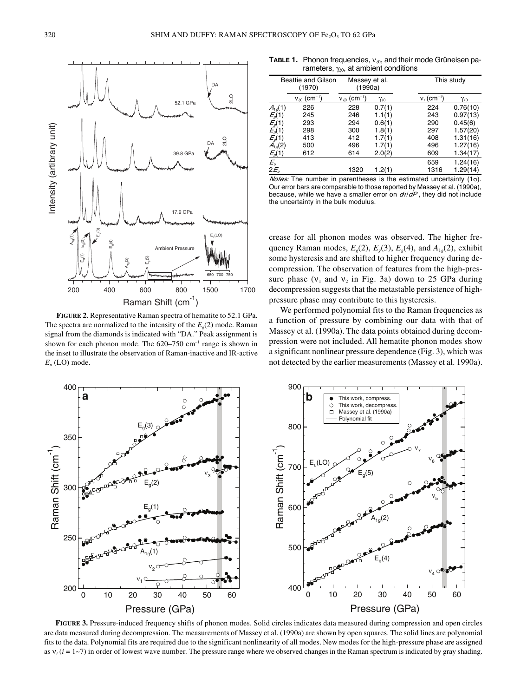

**FIGURE 2**. Representative Raman spectra of hematite to 52.1 GPa. The spectra are normalized to the intensity of the  $E_e(2)$  mode. Raman signal from the diamonds is indicated with "DA." Peak assignment is shown for each phonon mode. The  $620-750$  cm<sup>-1</sup> range is shown in the inset to illustrate the observation of Raman-inactive and IR-active *Eu* (LO) mode.

**TABLE 1.** Phonon frequencies,  $v_{i0}$ , and their mode Grüneisen parameters,  $y_0$ , at ambient conditions

| $ - - - -$ , 1.0, --- |                                     |                             |              |               |                  |  |  |  |  |
|-----------------------|-------------------------------------|-----------------------------|--------------|---------------|------------------|--|--|--|--|
|                       | <b>Beattie and Gilson</b><br>(1970) | Massey et al.<br>(1990a)    |              |               | This study       |  |  |  |  |
|                       | $v_{0}$ (cm <sup>-1</sup> )         | $v_{0}$ (cm <sup>-1</sup> ) | $\gamma_{0}$ | $v/(cm^{-1})$ | $\gamma_{\ell0}$ |  |  |  |  |
| $A_{1g}(1)$           | 226                                 | 228                         | 0.7(1)       | 224           | 0.76(10)         |  |  |  |  |
| E <sub>g</sub> (1)    | 245                                 | 246                         | 1.1(1)       | 243           | 0.97(13)         |  |  |  |  |
| $E_q(1)$              | 293                                 | 294                         | 0.6(1)       | 290           | 0.45(6)          |  |  |  |  |
| $E_q(1)$              | 298                                 | 300                         | 1.8(1)       | 297           | 1.57(20)         |  |  |  |  |
| E <sub>d</sub> (1)    | 413                                 | 412                         | 1.7(1)       | 408           | 1.31(16)         |  |  |  |  |
| $A_{1g}(2)$           | 500                                 | 496                         | 1.7(1)       | 496           | 1.27(16)         |  |  |  |  |
| E <sub>g</sub> (1)    | 612                                 | 614                         | 2.0(2)       | 609           | 1.34(17)         |  |  |  |  |
|                       |                                     |                             |              | 659           | 1.24(16)         |  |  |  |  |
| $\frac{E_u}{2E_u}$    |                                     | 1320                        | 1.2(1)       | 1316          | 1.29(14)         |  |  |  |  |

*Notes:* The number in parentheses is the estimated uncertainty  $(1\sigma)$ . Our error bars are comparable to those reported by Massey et al. (1990a), because, while we have a smaller error on  $d\nu/dP$ , they did not include the uncertainty in the bulk modulus.

crease for all phonon modes was observed. The higher frequency Raman modes,  $E_g(2)$ ,  $E_g(3)$ ,  $E_g(4)$ , and  $A_{1g}(2)$ , exhibit some hysteresis and are shifted to higher frequency during decompression. The observation of features from the high-pressure phase ( $v_1$  and  $v_2$  in Fig. 3a) down to 25 GPa during decompression suggests that the metastable persistence of highpressure phase may contribute to this hysteresis.

We performed polynomial fits to the Raman frequencies as a function of pressure by combining our data with that of Massey et al. (1990a). The data points obtained during decompression were not included. All hematite phonon modes show a significant nonlinear pressure dependence (Fig. 3), which was not detected by the earlier measurements (Massey et al. 1990a).



**FIGURE 3.** Pressure-induced frequency shifts of phonon modes. Solid circles indicates data measured during compression and open circles are data measured during decompression. The measurements of Massey et al. (1990a) are shown by open squares. The solid lines are polynomial fits to the data. Polynomial fits are required due to the significant nonlinearity of all modes. New modes for the high-pressure phase are assigned as  $v_i$  ( $i = 1$  –7) in order of lowest wave number. The pressure range where we observed changes in the Raman spectrum is indicated by gray shading.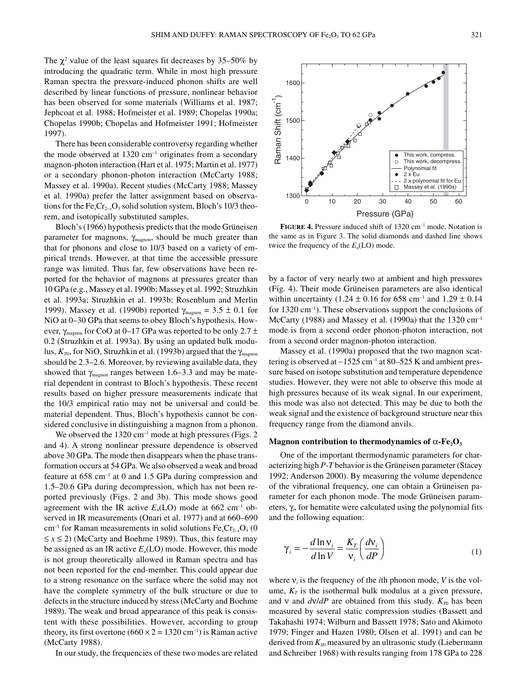The  $\chi^2$  value of the least squares fit decreases by 35–50% by introducing the quadratic term. While in most high pressure Raman spectra the pressure-induced phonon shifts are well described by linear functions of pressure, nonlinear behavior has been observed for some materials (Williams et al. 1987; Jephcoat et al. 1988; Hofmeister et al. 1989; Chopelas 1990a; Chopelas 1990b; Chopelas and Hofmeister 1991; Hofmeister 1997).

There has been considerable controversy regarding whether the mode observed at  $1320 \text{ cm}^{-1}$  originates from a secondary magnon-photon interaction (Hart et al. 1975; Martin et al. 1977) or a secondary phonon-photon interaction (McCarty 1988; Massey et al. 1990a). Recent studies (McCarty 1988; Massey et al. 1990a) prefer the latter assignment based on observations for the Fe<sub>x</sub>Cr<sub>2–x</sub>O<sub>3</sub> solid solution system, Bloch's 10/3 theorem, and isotopically substituted samples.

Bloch's (1966) hypothesis predicts that the mode Grüneisen parameter for magnons,  $\gamma_{\text{magnon}}$ , should be much greater than that for phonons and close to 10/3 based on a variety of empirical trends. However, at that time the accessible pressure range was limited. Thus far, few observations have been reported for the behavior of magnons at pressures greater than 10 GPa (e.g., Massey et al. 1990b; Massey et al. 1992; Struzhkin et al. 1993a; Struzhkin et al. 1993b; Rosenblum and Merlin 1999). Massey et al. (1990b) reported  $\gamma_{\text{magnon}} = 3.5 \pm 0.1$  for NiO at 0–30 GPa that seems to obey Bloch's hypothesis. However,  $\gamma_{\text{mean}}$  for CoO at 0–17 GPa was reported to be only 2.7  $\pm$ 0.2 (Struzhkin et al. 1993a). By using an updated bulk modulus,  $K_{T0}$ , for NiO, Struzhkin et al. (1993b) argued that the  $\gamma_{\text{magnon}}$ should be 2.3–2.6. Moreover, by reviewing available data, they showed that  $\gamma_{\text{magnon}}$  ranges between 1.6–3.3 and may be material dependent in contrast to Bloch's hypothesis. These recent results based on higher pressure measurements indicate that the 10/3 empirical ratio may not be universal and could be material dependent. Thus, Bloch's hypothesis cannot be considered conclusive in distinguishing a magnon from a phonon.

We observed the  $1320 \text{ cm}^{-1}$  mode at high pressures (Figs. 2) and 4). A strong nonlinear pressure dependence is observed above 30 GPa. The mode then disappears when the phase transformation occurs at 54 GPa. We also observed a weak and broad feature at  $658 \text{ cm}^{-1}$  at 0 and 1.5 GPa during compression and 1.5–20.6 GPa during decompression, which has not been reported previously (Figs. 2 and 3b). This mode shows good agreement with the IR active  $E_u(LO)$  mode at 662 cm<sup>-1</sup> observed in IR measurements (Onari et al. 1977) and at 660–690 cm<sup>-1</sup> for Raman measurements in solid solutions  $Fe<sub>x</sub>Cr<sub>2-x</sub>O<sub>3</sub>$  (0)  $\leq$  *x*  $\leq$  2) (McCarty and Boehme 1989). Thus, this feature may be assigned as an IR active *Eu*(LO) mode. However, this mode is not group theoretically allowed in Raman spectra and has not been reported for the end-member. This could appear due to a strong resonance on the surface where the solid may not have the complete symmetry of the bulk structure or due to defects in the structure induced by stress (McCarty and Boehme 1989). The weak and broad appearance of this peak is consistent with these possibilities. However, according to group theory, its first overtone (660  $\times$  2 = 1320 cm<sup>-1</sup>) is Raman active (McCarty 1988).

In our study, the frequencies of these two modes are related



**FIGURE 4.** Pressure induced shift of 1320 cm–1 mode. Notation is the same as in Figure 3. The solid diamonds and dashed line shows twice the frequency of the  $E_u(\text{LO})$  mode.

by a factor of very nearly two at ambient and high pressures (Fig. 4). Their mode Grüneisen parameters are also identical within uncertainty (1.24  $\pm$  0.16 for 658 cm<sup>-1</sup> and 1.29  $\pm$  0.14 for 1320 cm<sup>-1</sup>). These observations support the conclusions of McCarty (1988) and Massey et al. (1990a) that the 1320 cm–1 mode is from a second order phonon-photon interaction, not from a second order magnon-photon interaction.

Massey et al. (1990a) proposed that the two magnon scattering is observed at  $\sim$  1525 cm<sup>-1</sup> at 80–525 K and ambient pressure based on isotope substitution and temperature dependence studies. However, they were not able to observe this mode at high pressures because of its weak signal. In our experiment, this mode was also not detected. This may be due to both the weak signal and the existence of background structure near this frequency range from the diamond anvils.

#### Magnon contribution to thermodynamics of  $\alpha$ -Fe<sub>2</sub>O<sub>3</sub>

One of the important thermodynamic parameters for characterizing high *P-T* behavior is the Grüneisen parameter (Stacey 1992; Anderson 2000). By measuring the volume dependence of the vibrational frequency, one can obtain a Grüneisen parameter for each phonon mode. The mode Grüneisen parameters,  $\gamma_i$ , for hematite were calculated using the polynomial fits and the following equation:

$$
\gamma_i = -\frac{d \ln \mathbf{v}_i}{d \ln V} = \frac{K_T}{\mathbf{v}_i} \left(\frac{d \mathbf{v}_i}{dP}\right) \tag{1}
$$

where  $v_i$  is the frequency of the *i*th phonon mode, *V* is the volume,  $K_T$  is the isothermal bulk modulus at a given pressure, and v and  $d\nu/dP$  are obtained from this study.  $K_T$  has been measured by several static compression studies (Bassett and Takahashi 1974; Wilburn and Bassett 1978; Sato and Akimoto 1979; Finger and Hazen 1980; Olsen et al. 1991) and can be derived from  $K_{s0}$  measured by an ultrasonic study (Liebermann and Schreiber 1968) with results ranging from 178 GPa to 228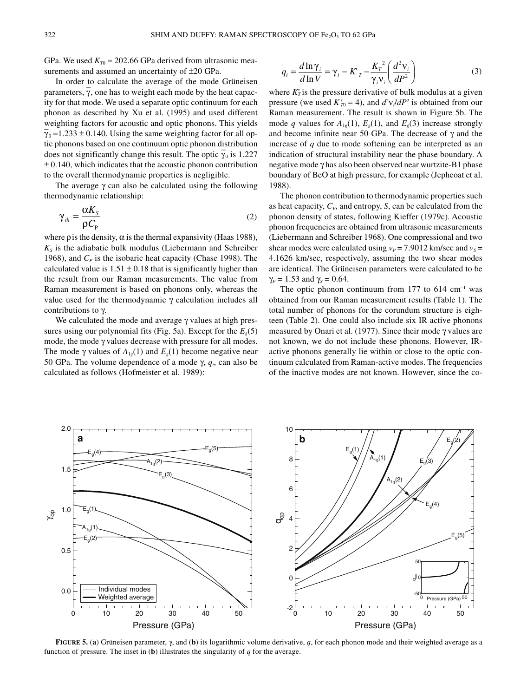GPa. We used  $K_{T0} = 202.66$  GPa derived from ultrasonic measurements and assumed an uncertainty of ±20 GPa.

In order to calculate the average of the mode Grüneisen parameters,  $\overline{\gamma}$ , one has to weight each mode by the heat capacity for that mode. We used a separate optic continuum for each phonon as described by Xu et al. (1995) and used different weighting factors for acoustic and optic phonons. This yields  $\frac{1}{\gamma_0}$  =1.233 ± 0.140. Using the same weighting factor for all optic phonons based on one continuum optic phonon distribution does not significantly change this result. The optic  $\bar{\gamma}_0$  is 1.227  $\pm$  0.140, which indicates that the acoustic phonon contribution to the overall thermodynamic properties is negligible.

The average  $\gamma$  can also be calculated using the following thermodynamic relationship:

$$
\gamma_{th} = \frac{\alpha K_S}{\rho C_P} \tag{2}
$$

where  $\rho$  is the density,  $\alpha$  is the thermal expansivity (Haas 1988),  $K<sub>S</sub>$  is the adiabatic bulk modulus (Liebermann and Schreiber 1968), and  $C_P$  is the isobaric heat capacity (Chase 1998). The calculated value is  $1.51 \pm 0.18$  that is significantly higher than the result from our Raman measurements. The value from Raman measurement is based on phonons only, whereas the value used for the thermodynamic  $\gamma$  calculation includes all contributions to γ.

We calculated the mode and average  $\gamma$  values at high pressures using our polynomial fits (Fig. 5a). Except for the  $E_g(5)$ mode, the mode  $\gamma$  values decrease with pressure for all modes. The mode  $\gamma$  values of  $A_{1g}(1)$  and  $E_g(1)$  become negative near 50 GPa. The volume dependence of a mode  $\gamma$ ,  $q_i$ , can also be calculated as follows (Hofmeister et al. 1989):

$$
q_i = \frac{d \ln \gamma_i}{d \ln V} = \gamma_i - K \frac{K_r^2}{\gamma_i V_i} \left(\frac{d^2 V_i}{dP^2}\right)
$$
 (3)

where  $K<sub>T</sub>$  is the pressure derivative of bulk modulus at a given pressure (we used  $K'_{T0} = 4$ ), and  $d^2 \nu / dP^2$  is obtained from our Raman measurement. The result is shown in Figure 5b. The mode *q* values for  $A_{1g}(1)$ ,  $E_g(1)$ , and  $E_g(3)$  increase strongly and become infinite near 50 GPa. The decrease of  $\gamma$  and the increase of *q* due to mode softening can be interpreted as an indication of structural instability near the phase boundary. A negative mode  $\gamma$  has also been observed near wurtzite-B1 phase boundary of BeO at high pressure, for example (Jephcoat et al. 1988).

The phonon contribution to thermodynamic properties such as heat capacity,  $C_v$ , and entropy, *S*, can be calculated from the phonon density of states, following Kieffer (1979c). Acoustic phonon frequencies are obtained from ultrasonic measurements (Liebermann and Schreiber 1968). One compressional and two shear modes were calculated using  $v_p = 7.9012$  km/sec and  $v_s =$ 4.1626 km/sec, respectively, assuming the two shear modes are identical. The Grüneisen parameters were calculated to be  $\gamma_p = 1.53$  and  $\gamma_s = 0.64$ .

The optic phonon continuum from 177 to  $614 \text{ cm}^{-1}$  was obtained from our Raman measurement results (Table 1). The total number of phonons for the corundum structure is eighteen (Table 2). One could also include six IR active phonons measured by Onari et al. (1977). Since their mode  $\gamma$  values are not known, we do not include these phonons. However, IRactive phonons generally lie within or close to the optic continuum calculated from Raman-active modes. The frequencies of the inactive modes are not known. However, since the co-



**FIGURE 5. (a)** Grüneisen parameter,  $\gamma$ , and (b) its logarithmic volume derivative,  $q$ , for each phonon mode and their weighted average as a function of pressure. The inset in (**b**) illustrates the singularity of *q* for the average.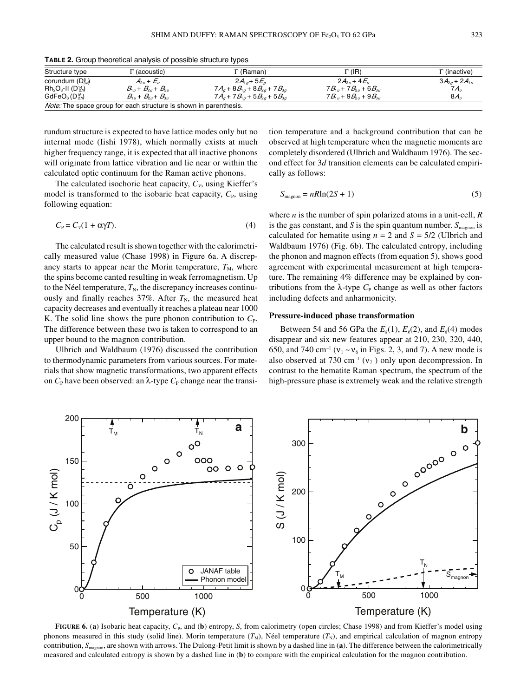**TABLE 2.** Group theoretical analysis of possible structure types

| Structure type                | ' (acoustic)                                                             | ` (Raman)                                                        | $\Gamma$ (IR)                 | ` (inactive)                |
|-------------------------------|--------------------------------------------------------------------------|------------------------------------------------------------------|-------------------------------|-----------------------------|
| corundum $(D_{3d}^6)$         | $A_{2n} + E_n$                                                           | $2A_{1a} + 5E_{a}$                                               | $2A_{2u} + 4E_u$              | $3A_{2a} + 2A_{1a}$         |
| $Rh_2O_3$ -II $(D_{2h}^{14})$ | $B_{1u} + B_{2u} + B_{3u}$                                               | $7A_{a} + 8B_{1a} + 8B_{2a} + 7B_{3a}$                           | $7B_{11} + 7B_{21} + 6B_{31}$ | $7A_{\scriptscriptstyle U}$ |
| $GdFeO3(D1626)$               | $B_{1u} + B_{2u} + B_{3u}$                                               | $7A_{\sigma}$ + $7B_{1\sigma}$ + $5B_{2\sigma}$ + $5B_{3\sigma}$ | $7B_{11} + 9B_{21} + 9B_{31}$ | 8 <i>A</i> ,,               |
|                               | <i>Note:</i> The space group for each structure is shown in parenthesis. |                                                                  |                               |                             |

rundum structure is expected to have lattice modes only but no internal mode (Iishi 1978), which normally exists at much higher frequency range, it is expected that all inactive phonons will originate from lattice vibration and lie near or within the calculated optic continuum for the Raman active phonons.

The calculated isochoric heat capacity,  $C_V$ , using Kieffer's model is transformed to the isobaric heat capacity,  $C_{P}$ , using following equation:

$$
C_{\rm P} = C_{\rm V}(1 + \alpha \gamma T). \tag{4}
$$

The calculated result is shown together with the calorimetrically measured value (Chase 1998) in Figure 6a. A discrepancy starts to appear near the Morin temperature,  $T_M$ , where the spins become canted resulting in weak ferromagnetism. Up to the Néel temperature,  $T_N$ , the discrepancy increases continuously and finally reaches  $37\%$ . After  $T_N$ , the measured heat capacity decreases and eventually it reaches a plateau near 1000 K. The solid line shows the pure phonon contribution to  $C_{P}$ . The difference between these two is taken to correspond to an upper bound to the magnon contribution.

Ulbrich and Waldbaum (1976) discussed the contribution to thermodynamic parameters from various sources. For materials that show magnetic transformations, two apparent effects on  $C_{\rm P}$  have been observed: an  $\lambda$ -type  $C_{\rm P}$  change near the transition temperature and a background contribution that can be observed at high temperature when the magnetic moments are completely disordered (Ulbrich and Waldbaum 1976). The second effect for 3*d* transition elements can be calculated empirically as follows:

$$
S_{\text{magnon}} = nR \ln(2S + 1) \tag{5}
$$

where *n* is the number of spin polarized atoms in a unit-cell, *R* is the gas constant, and *S* is the spin quantum number.  $S_{\text{magnon}}$  is calculated for hematite using  $n = 2$  and  $S = 5/2$  (Ulbrich and Waldbaum 1976) (Fig. 6b). The calculated entropy, including the phonon and magnon effects (from equation 5), shows good agreement with experimental measurement at high temperature. The remaining 4% difference may be explained by contributions from the  $\lambda$ -type  $C_P$  change as well as other factors including defects and anharmonicity.

### **Pressure-induced phase transformation**

Between 54 and 56 GPa the  $E_g(1)$ ,  $E_g(2)$ , and  $E_g(4)$  modes disappear and six new features appear at 210, 230, 320, 440, 650, and 740 cm<sup>-1</sup> ( $v_1 \sim v_6$  in Figs. 2, 3, and 7). A new mode is also observed at 730 cm<sup>-1</sup> ( $v_7$ ) only upon decompression. In contrast to the hematite Raman spectrum, the spectrum of the high-pressure phase is extremely weak and the relative strength



**FIGURE 6.** (**a**) Isobaric heat capacity, *C*P, and (**b**) entropy, *S*, from calorimetry (open circles; Chase 1998) and from Kieffer's model using phonons measured in this study (solid line). Morin temperature  $(T_M)$ , Néel temperature  $(T_N)$ , and empirical calculation of magnon entropy contribution, *S*magnon, are shown with arrows. The Dulong-Petit limit is shown by a dashed line in (**a**). The difference between the calorimetrically measured and calculated entropy is shown by a dashed line in (**b**) to compare with the empirical calculation for the magnon contribution.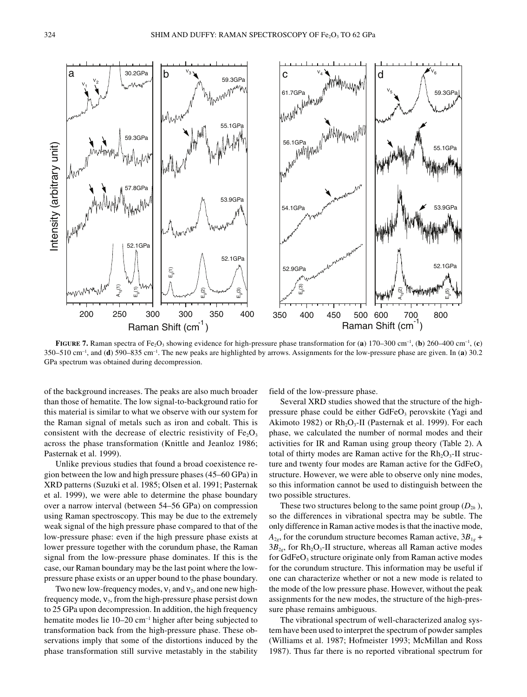

**FIGURE 7.** Raman spectra of Fe<sub>2</sub>O<sub>3</sub> showing evidence for high-pressure phase transformation for (**a**) 170–300 cm<sup>-1</sup>, (**b**) 260–400 cm<sup>-1</sup>, (**c**) 350–510 cm–1, and (**d**) 590–835 cm–1. The new peaks are highlighted by arrows. Assignments for the low-pressure phase are given. In (**a**) 30.2 GPa spectrum was obtained during decompression.

of the background increases. The peaks are also much broader than those of hematite. The low signal-to-background ratio for this material is similar to what we observe with our system for the Raman signal of metals such as iron and cobalt. This is consistent with the decrease of electric resistivity of  $Fe<sub>2</sub>O<sub>3</sub>$ across the phase transformation (Knittle and Jeanloz 1986; Pasternak et al. 1999).

Unlike previous studies that found a broad coexistence region between the low and high pressure phases (45–60 GPa) in XRD patterns (Suzuki et al. 1985; Olsen et al. 1991; Pasternak et al. 1999), we were able to determine the phase boundary over a narrow interval (between 54–56 GPa) on compression using Raman spectroscopy. This may be due to the extremely weak signal of the high pressure phase compared to that of the low-pressure phase: even if the high pressure phase exists at lower pressure together with the corundum phase, the Raman signal from the low-pressure phase dominates. If this is the case, our Raman boundary may be the last point where the lowpressure phase exists or an upper bound to the phase boundary.

Two new low-frequency modes,  $v_1$  and  $v_2$ , and one new highfrequency mode,  $v_7$ , from the high-pressure phase persist down to 25 GPa upon decompression. In addition, the high frequency hematite modes lie 10–20 cm<sup>-1</sup> higher after being subjected to transformation back from the high-pressure phase. These observations imply that some of the distortions induced by the phase transformation still survive metastably in the stability field of the low-pressure phase.

Several XRD studies showed that the structure of the highpressure phase could be either  $GdFeO<sub>3</sub>$  perovskite (Yagi and Akimoto 1982) or  $Rh_2O_3$ -II (Pasternak et al. 1999). For each phase, we calculated the number of normal modes and their activities for IR and Raman using group theory (Table 2). A total of thirty modes are Raman active for the  $Rh<sub>2</sub>O<sub>3</sub>$ -II structure and twenty four modes are Raman active for the  $GdFeO<sub>3</sub>$ structure. However, we were able to observe only nine modes, so this information cannot be used to distinguish between the two possible structures.

These two structures belong to the same point group  $(D_{2h})$ , so the differences in vibrational spectra may be subtle. The only difference in Raman active modes is that the inactive mode,  $A_{2g}$ , for the corundum structure becomes Raman active,  $3B_{1g}$  +  $3B_{2g}$ , for  $Rh_2O_3$ -II structure, whereas all Raman active modes for  $GdFeO<sub>3</sub>$  structure originate only from Raman active modes for the corundum structure. This information may be useful if one can characterize whether or not a new mode is related to the mode of the low pressure phase. However, without the peak assignments for the new modes, the structure of the high-pressure phase remains ambiguous.

The vibrational spectrum of well-characterized analog system have been used to interpret the spectrum of powder samples (Williams et al. 1987; Hofmeister 1993; McMillan and Ross 1987). Thus far there is no reported vibrational spectrum for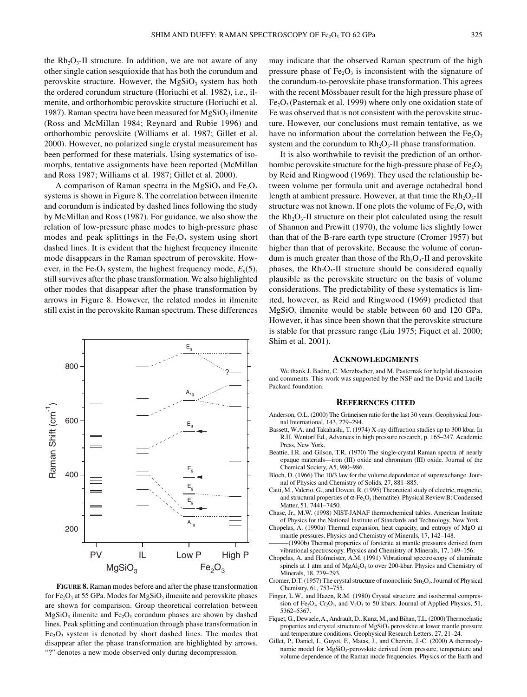the  $Rh_2O_3$ -II structure. In addition, we are not aware of any other single cation sesquioxide that has both the corundum and perovskite structure. However, the  $MgSiO<sub>3</sub>$  system has both the ordered corundum structure (Horiuchi et al. 1982), i.e., ilmenite, and orthorhombic perovskite structure (Horiuchi et al. 1987). Raman spectra have been measured for  $MgSiO<sub>3</sub>$  ilmenite (Ross and McMillan 1984; Reynard and Rubie 1996) and orthorhombic perovskite (Williams et al. 1987; Gillet et al. 2000). However, no polarized single crystal measurement has been performed for these materials. Using systematics of isomorphs, tentative assignments have been reported (McMillan and Ross 1987; Williams et al. 1987; Gillet et al. 2000).

A comparison of Raman spectra in the MgSiO<sub>3</sub> and Fe<sub>2</sub>O<sub>3</sub> systems is shown in Figure 8. The correlation between ilmenite and corundum is indicated by dashed lines following the study by McMillan and Ross (1987). For guidance, we also show the relation of low-pressure phase modes to high-pressure phase modes and peak splittings in the  $Fe<sub>2</sub>O<sub>3</sub>$  system using short dashed lines. It is evident that the highest frequency ilmenite mode disappears in the Raman spectrum of perovskite. However, in the Fe<sub>2</sub>O<sub>3</sub> system, the highest frequency mode,  $E_g(5)$ , still survives after the phase transformation. We also highlighted other modes that disappear after the phase transformation by arrows in Figure 8. However, the related modes in ilmenite still exist in the perovskite Raman spectrum. These differences



**FIGURE 8.** Raman modes before and after the phase transformation for  $Fe<sub>2</sub>O<sub>3</sub>$  at 55 GPa. Modes for  $MgSiO<sub>3</sub>$  ilmenite and perovskite phases are shown for comparison. Group theoretical correlation between  $MgSiO<sub>3</sub>$  ilmenite and Fe<sub>2</sub>O<sub>3</sub> corundum phases are shown by dashed lines. Peak splitting and continuation through phase transformation in  $Fe<sub>2</sub>O<sub>3</sub>$  system is denoted by short dashed lines. The modes that disappear after the phase transformation are highlighted by arrows. "?" denotes a new mode observed only during decompression.

may indicate that the observed Raman spectrum of the high pressure phase of  $Fe<sub>2</sub>O<sub>3</sub>$  is inconsistent with the signature of the corundum-to-perovskite phase transformation. This agrees with the recent Mössbauer result for the high pressure phase of  $Fe<sub>2</sub>O<sub>3</sub>$  (Pasternak et al. 1999) where only one oxidation state of Fe was observed that is not consistent with the perovskite structure. However, our conclusions must remain tentative, as we have no information about the correlation between the  $Fe<sub>2</sub>O<sub>3</sub>$ system and the corundum to  $Rh_2O_3$ -II phase transformation.

It is also worthwhile to revisit the prediction of an orthorhombic perovskite structure for the high-pressure phase of  $Fe<sub>2</sub>O<sub>3</sub>$ by Reid and Ringwood (1969). They used the relationship between volume per formula unit and average octahedral bond length at ambient pressure. However, at that time the  $Rh_2O_3-II$ structure was not known. If one plots the volume of  $Fe<sub>2</sub>O<sub>3</sub>$  with the  $Rh_2O_3$ -II structure on their plot calculated using the result of Shannon and Prewitt (1970), the volume lies slightly lower than that of the B-rare earth type structure (Cromer 1957) but higher than that of perovskite. Because the volume of corundum is much greater than those of the  $Rh_2O_3$ -II and perovskite phases, the  $Rh<sub>2</sub>O<sub>3</sub>$ -II structure should be considered equally plausible as the perovskite structure on the basis of volume considerations. The predictability of these systematics is limited, however, as Reid and Ringwood (1969) predicted that  $MgSiO<sub>3</sub>$  ilmenite would be stable between 60 and 120 GPa. However, it has since been shown that the perovskite structure is stable for that pressure range (Liu 1975; Fiquet et al. 2000; Shim et al. 2001).

#### **ACKNOWLEDGMENTS**

We thank J. Badro, C. Merzbacher, and M. Pasternak for helpful discussion and comments. This work was supported by the NSF and the David and Lucile Packard foundation.

#### **REFERENCES CITED**

- Anderson, O.L. (2000) The Grüneisen ratio for the last 30 years. Geophysical Journal International, 143, 279–294.
- Bassett, W.A. and Takahashi, T. (1974) X-ray diffraction studies up to 300 kbar. In R.H. Wentorf Ed., Advances in high pressure research, p. 165–247. Academic Press, New York.
- Beattie, I.R. and Gilson, T.R. (1970) The single-crystal Raman spectra of nearly opaque materials—iron (III) oxide and chromium (III) oxide. Journal of the Chemical Society, A5, 980–986.
- Bloch, D. (1966) The 10/3 law for the volume dependence of superexchange. Journal of Physics and Chemistry of Solids, 27, 881–885.
- Catti, M., Valerio, G., and Dovesi, R. (1995) Theoretical study of electric, magnetic, and structural properties of  $\alpha$ -Fe<sub>2</sub>O<sub>3</sub> (hematite). Physical Review B: Condensed Matter, 51, 7441–7450.
- Chase, Jr., M.W. (1998) NIST-JANAF thermochemical tables. American Institute of Physics for the National Institute of Standards and Technology, New York.
- Chopelas, A. (1990a) Thermal expansion, heat capacity, and entropy of MgO at mantle pressures. Physics and Chemistry of Minerals, 17, 142–148.
- ———(1990b) Thermal properties of forsterite at mantle pressures derived from vibrational spectroscopy. Physics and Chemistry of Minerals, 17, 149–156.
- Chopelas, A. and Hofmeister, A.M. (1991) Vibrational spectroscopy of aluminate spinels at 1 atm and of MgAl<sub>2</sub>O<sub>4</sub> to over 200-kbar. Physics and Chemistry of Minerals, 18, 279–293.
- Cromer, D.T. (1957) The crystal structure of monoclinic  $Sm_2O_3$ . Journal of Physical Chemistry, 61, 753–755.
- Finger, L.W., and Hazen, R.M. (1980) Crystal structure and isothermal compression of Fe<sub>2</sub>O<sub>3</sub>, Cr<sub>2</sub>O<sub>3</sub>, and V<sub>2</sub>O<sub>3</sub> to 50 kbars. Journal of Applied Physics, 51, 5362–5367.
- Fiquet, G., Dewaele, A., Andrault, D., Kunz, M., and Bihan, T.L. (2000) Thermoelastic properties and crystal structure of MgSiO<sub>3</sub> perovskite at lower mantle pressure and temperature conditions. Geophysical Research Letters, 27, 21–24.
- Gillet, P., Daniel, I., Guyot, F., Matas, J., and Chervin, J.-C. (2000) A thermodynamic model for MgSiO<sub>3</sub>-perovskite derived from pressure, temperature and volume dependence of the Raman mode frequencies. Physics of the Earth and